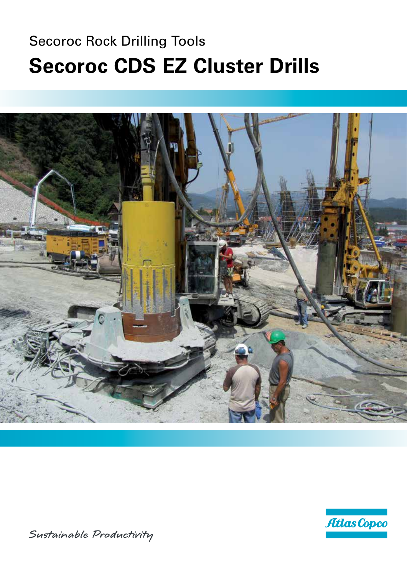# **Secoroc Rock Drilling Tools Secoroc CDS EZ Cluster Drills**





Sustainable Productivity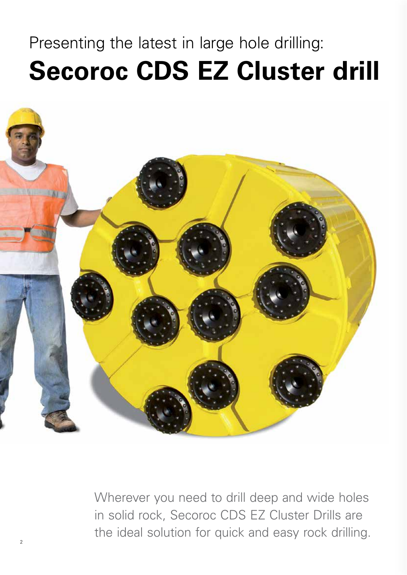# Presenting the latest in large hole drilling: **Secoroc CDS EZ Cluster drill**



Wherever you need to drill deep and wide holes in solid rock, Secoroc CDS EZ Cluster Drills are the ideal solution for quick and easy rock drilling.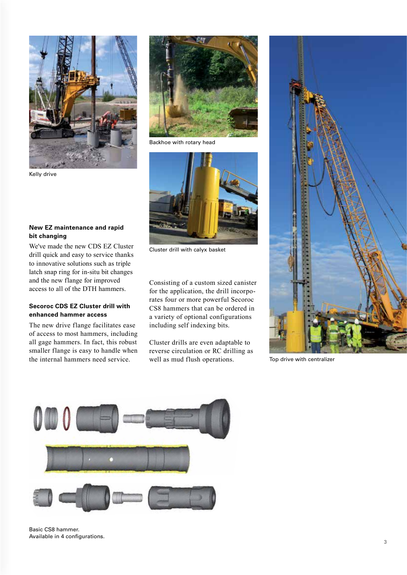

**New EZ maintenance and rapid** 

We've made the new CDS EZ Cluster drill quick and easy to service thanks to innovative solutions such as triple latch snap ring for in-situ bit changes and the new flange for improved access to all of the DTH hammers.

**Secoroc CDS EZ Cluster drill with** 

The new drive flange facilitates ease of access to most hammers, including all gage hammers. In fact, this robust smaller flange is easy to handle when the internal hammers need service.

**enhanced hammer access** 

Kelly drive

**bit changing** 



Backhoe with rotary head



Cluster drill with calyx basket

Consisting of a custom sized canister for the application, the drill incorporates four or more powerful Secoroc CS8 hammers that can be ordered in a variety of optional configurations including self indexing bits.

Cluster drills are even adaptable to reverse circulation or RC drilling as well as mud flush operations.



Top drive with centralizer

![](_page_2_Picture_10.jpeg)

Basic CS8 hammer. Available in 4 configurations.